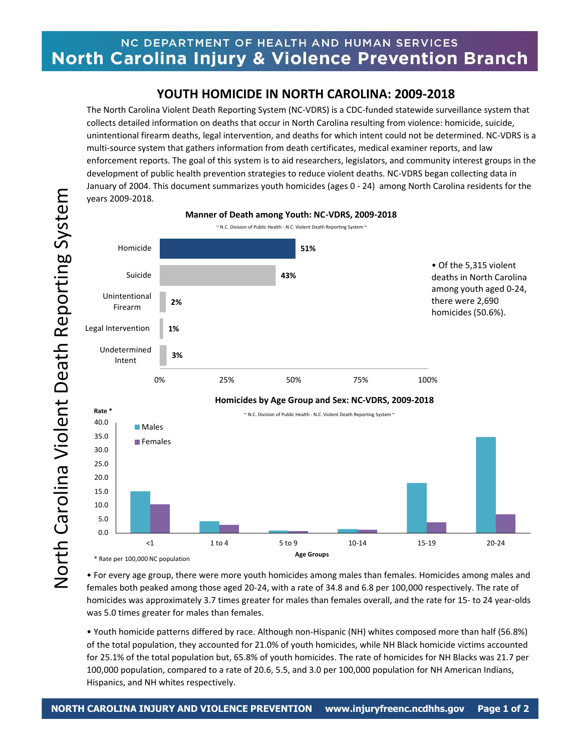## NC DEPARTMENT OF HEALTH AND HUMAN SERVICES North Carolina Injury & Violence Prevention Branch

## **YOUTH HOMICIDE IN NORTH CAROLINA: 2009-2018**

The North Carolina Violent Death Reporting System (NC-VDRS) is a CDC-funded statewide surveillance system that collects detailed information on deaths that occur in North Carolina resulting from violence: homicide, suicide, unintentional firearm deaths, legal intervention, and deaths for which intent could not be determined. NC-VDRS is a multi-source system that gathers information from death certificates, medical examiner reports, and law enforcement reports. The goal of this system is to aid researchers, legislators, and community interest groups in the development of public health prevention strategies to reduce violent deaths. NC-VDRS began collecting data in January of 2004. This document summarizes youth homicides (ages 0 - 24) among North Carolina residents for the years 2009-2018.



• For every age group, there were more youth homicides among males than females. Homicides among males and females both peaked among those aged 20-24, with a rate of 34.8 and 6.8 per 100,000 respectively. The rate of homicides was approximately 3.7 times greater for males than females overall, and the rate for 15- to 24 year-olds was 5.0 times greater for males than females.

• Youth homicide patterns differed by race. Although non-Hispanic (NH) whites composed more than half (56.8%) of the total population, they accounted for 21.0% of youth homicides, while NH Black homicide victims accounted for 25.1% of the total population but, 65.8% of youth homicides. The rate of homicides for NH Blacks was 21.7 per 100,000 population, compared to a rate of 20.6, 5.5, and 3.0 per 100,000 population for NH American Indians, Hispanics, and NH whites respectively.